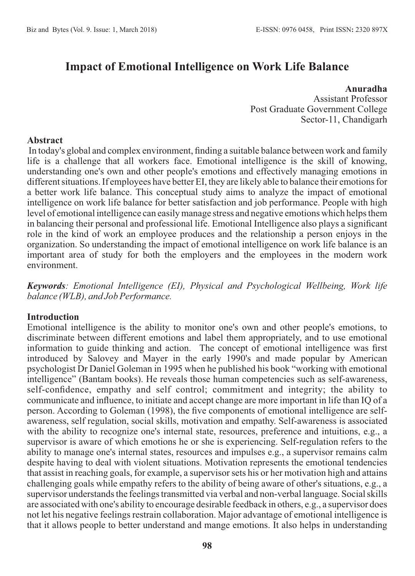# **Impact of Emotional Intelligence on Work Life Balance**

# **Anuradha**

Assistant Professor Post Graduate Government College Sector-11, Chandigarh

#### **Abstract**

In today's global and complex environment, finding a suitable balance between work and family life is a challenge that all workers face. Emotional intelligence is the skill of knowing, understanding one's own and other people's emotions and effectively managing emotions in different situations. If employees have better EI, they are likely able to balance their emotions for a better work life balance. This conceptual study aims to analyze the impact of emotional intelligence on work life balance for better satisfaction and job performance. People with high level of emotional intelligence can easily manage stress and negative emotions which helps them in balancing their personal and professional life. Emotional Intelligence also plays a significant role in the kind of work an employee produces and the relationship a person enjoys in the organization. So understanding the impact of emotional intelligence on work life balance is an important area of study for both the employers and the employees in the modern work environment.

*Keywords: Emotional Intelligence (EI), Physical and Psychological Wellbeing, Work life balance (WLB), and Job Performance.*

### **Introduction**

Emotional intelligence is the ability to monitor one's own and other people's emotions, to discriminate between different emotions and label them appropriately, and to use emotional information to guide thinking and action. The concept of emotional intelligence was first introduced by Salovey and Mayer in the early 1990's and made popular by American psychologist Dr Daniel Goleman in 1995 when he published his book "working with emotional intelligence" (Bantam books). He reveals those human competencies such as self-awareness, self-confidence, empathy and self control; commitment and integrity; the ability to communicate and influence, to initiate and accept change are more important in life than IQ of a person. According to Goleman (1998), the five components of emotional intelligence are selfawareness, self regulation, social skills, motivation and empathy. Self-awareness is associated with the ability to recognize one's internal state, resources, preference and intuitions, e.g., a supervisor is aware of which emotions he or she is experiencing. Self-regulation refers to the ability to manage one's internal states, resources and impulses e.g., a supervisor remains calm despite having to deal with violent situations. Motivation represents the emotional tendencies that assist in reaching goals, for example, a supervisor sets his or her motivation high and attains challenging goals while empathy refers to the ability of being aware of other's situations, e.g., a supervisor understands the feelings transmitted via verbal and non-verbal language. Social skills are associated with one's ability to encourage desirable feedback in others, e.g., a supervisor does not let his negative feelings restrain collaboration. Major advantage of emotional intelligence is that it allows people to better understand and mange emotions. It also helps in understanding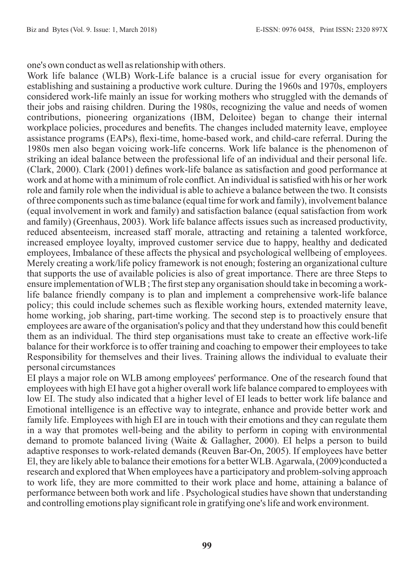one's own conduct as well as relationship with others.

Work life balance (WLB) Work-Life balance is a crucial issue for every organisation for establishing and sustaining a productive work culture. During the 1960s and 1970s, employers considered work-life mainly an issue for working mothers who struggled with the demands of their jobs and raising children. During the 1980s, recognizing the value and needs of women contributions, pioneering organizations (IBM, Deloitee) began to change their internal workplace policies, procedures and benefits. The changes included maternity leave, employee assistance programs (EAPs), flexi-time, home-based work, and child-care referral. During the 1980s men also began voicing work-life concerns. Work life balance is the phenomenon of striking an ideal balance between the professional life of an individual and their personal life. (Clark, 2000). Clark (2001) defines work-life balance as satisfaction and good performance at work and at home with a minimum of role conflict. An individual is satisfied with his or her work role and family role when the individual is able to achieve a balance between the two. It consists of three components such as time balance (equal time for work and family), involvement balance (equal involvement in work and family) and satisfaction balance (equal satisfaction from work and family) (Greenhaus, 2003). Work life balance affects issues such as increased productivity, reduced absenteeism, increased staff morale, attracting and retaining a talented workforce, increased employee loyalty, improved customer service due to happy, healthy and dedicated employees, Imbalance of these affects the physical and psychological wellbeing of employees. Merely creating a work/life policy framework is not enough; fostering an organizational culture that supports the use of available policies is also of great importance. There are three Steps to ensure implementation of WLB ; The first step any organisation should take in becoming a worklife balance friendly company is to plan and implement a comprehensive work-life balance policy; this could include schemes such as flexible working hours, extended maternity leave, home working, job sharing, part-time working. The second step is to proactively ensure that employees are aware of the organisation's policy and that they understand how this could benefit them as an individual. The third step organisations must take to create an effective work-life balance for their workforce is to offer training and coaching to empower their employees to take Responsibility for themselves and their lives. Training allows the individual to evaluate their personal circumstances

EI plays a major role on WLB among employees' performance. One of the research found that employees with high EI have got a higher overall work life balance compared to employees with low EI. The study also indicated that a higher level of EI leads to better work life balance and Emotional intelligence is an effective way to integrate, enhance and provide better work and family life. Employees with high EI are in touch with their emotions and they can regulate them in a way that promotes well-being and the ability to perform in coping with environmental demand to promote balanced living (Waite & Gallagher, 2000). EI helps a person to build adaptive responses to work-related demands (Reuven Bar-On, 2005). If employees have better El, they are likely able to balance their emotions for a better WLB. Agarwala, (2009)conducted a research and explored that When employees have a participatory and problem-solving approach to work life, they are more committed to their work place and home, attaining a balance of performance between both work and life . Psychological studies have shown that understanding and controlling emotions play significant role in gratifying one's life and work environment.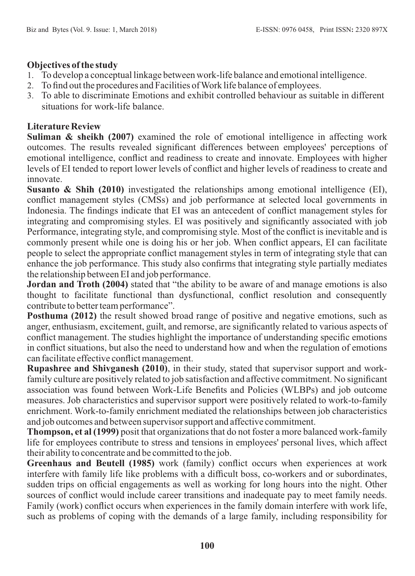# **Objectives of the study**

- 1. To develop a conceptual linkage between work-life balance and emotional intelligence.
- 2. To find out the procedures and Facilities of Work life balance of employees.
- 3. To able to discriminate Emotions and exhibit controlled behaviour as suitable in different situations for work-life balance.

# **Literature Review**

**Suliman & sheikh (2007)** examined the role of emotional intelligence in affecting work outcomes. The results revealed significant differences between employees' perceptions of emotional intelligence, conflict and readiness to create and innovate. Employees with higher levels of EI tended to report lower levels of conflict and higher levels of readiness to create and innovate.

**Susanto & Shih (2010)** investigated the relationships among emotional intelligence (EI), conflict management styles (CMSs) and job performance at selected local governments in Indonesia. The findings indicate that EI was an antecedent of conflict management styles for integrating and compromising styles. EI was positively and significantly associated with job Performance, integrating style, and compromising style. Most of the conflict is inevitable and is commonly present while one is doing his or her job. When conflict appears, EI can facilitate people to select the appropriate conflict management styles in term of integrating style that can enhance the job performance. This study also confirms that integrating style partially mediates the relationship between EI and job performance.

**Jordan and Troth (2004)** stated that "the ability to be aware of and manage emotions is also thought to facilitate functional than dysfunctional, conflict resolution and consequently contribute to better team performance".

**Posthuma (2012)** the result showed broad range of positive and negative emotions, such as anger, enthusiasm, excitement, guilt, and remorse, are significantly related to various aspects of conflict management. The studies highlight the importance of understanding specific emotions in conflict situations, but also the need to understand how and when the regulation of emotions can facilitate effective conflict management.

**Rupashree and Shivganesh (2010)**, in their study, stated that supervisor support and workfamily culture are positively related to job satisfaction and affective commitment. No significant association was found between Work-Life Benefits and Policies (WLBPs) and job outcome measures. Job characteristics and supervisor support were positively related to work-to-family enrichment. Work-to-family enrichment mediated the relationships between job characteristics and job outcomes and between supervisor support and affective commitment.

**Thompson, et al (1999)** posit that organizations that do not foster a more balanced work-family life for employees contribute to stress and tensions in employees' personal lives, which affect their ability to concentrate and be committed to the job.

**Greenhaus and Beutell (1985)** work (family) conflict occurs when experiences at work interfere with family life like problems with a difficult boss, co-workers and or subordinates, sudden trips on official engagements as well as working for long hours into the night. Other sources of conflict would include career transitions and inadequate pay to meet family needs. Family (work) conflict occurs when experiences in the family domain interfere with work life, such as problems of coping with the demands of a large family, including responsibility for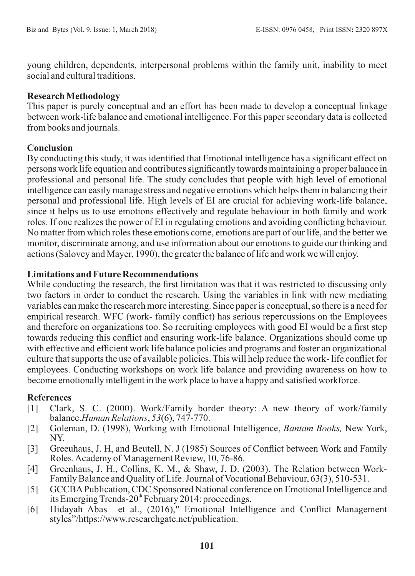young children, dependents, interpersonal problems within the family unit, inability to meet social and cultural traditions.

### **Research Methodology**

This paper is purely conceptual and an effort has been made to develop a conceptual linkage between work-life balance and emotional intelligence. For this paper secondary data is collected from books and journals.

# **Conclusion**

By conducting this study, it was identified that Emotional intelligence has a significant effect on persons work life equation and contributes significantly towards maintaining a proper balance in professional and personal life. The study concludes that people with high level of emotional intelligence can easily manage stress and negative emotions which helps them in balancing their personal and professional life. High levels of EI are crucial for achieving work-life balance, since it helps us to use emotions effectively and regulate behaviour in both family and work roles. If one realizes the power of EI in regulating emotions and avoiding conflicting behaviour. No matter from which roles these emotions come, emotions are part of our life, and the better we monitor, discriminate among, and use information about our emotions to guide our thinking and actions (Salovey and Mayer, 1990), the greater the balance of life and work we will enjoy.

### **Limitations and Future Recommendations**

While conducting the research, the first limitation was that it was restricted to discussing only two factors in order to conduct the research. Using the variables in link with new mediating variables can make the research more interesting. Since paper is conceptual, so there is a need for empirical research. WFC (work- family conflict) has serious repercussions on the Employees and therefore on organizations too. So recruiting employees with good EI would be a first step towards reducing this conflict and ensuring work-life balance. Organizations should come up with effective and efficient work life balance policies and programs and foster an organizational culture that supports the use of available policies. This will help reduce the work- life conflict for employees. Conducting workshops on work life balance and providing awareness on how to become emotionally intelligent in the work place to have a happy and satisfied workforce.

### **References**

- [1] Clark, S. C. (2000). Work/Family border theory: A new theory of work/family balance.*Human Relations*, *53*(6), 747-770.
- [2] Goleman, D. (1998), Working with Emotional Intelligence, *Bantam Books,* New York, NY.
- [3] Greeuhaus, J. H, and Beutell, N. J (1985) Sources of Conflict between Work and Family Roles. Academy of Management Review, 10, 76-86.
- [4] Greenhaus, J. H., Collins, K. M., & Shaw, J. D. (2003). The Relation between Work-Family Balance and Quality of Life. Journal of Vocational Behaviour, 63(3), 510-531.
- [5] GCCBAPublication, CDC Sponsored National conference on Emotional Intelligence and its Emerging Trends-20<sup>th</sup> February 2014: proceedings.
- [6] Hidayah Abas et al., (2016)," Emotional Intelligence and Conflict Management styles"/https://www.researchgate.net/publication.